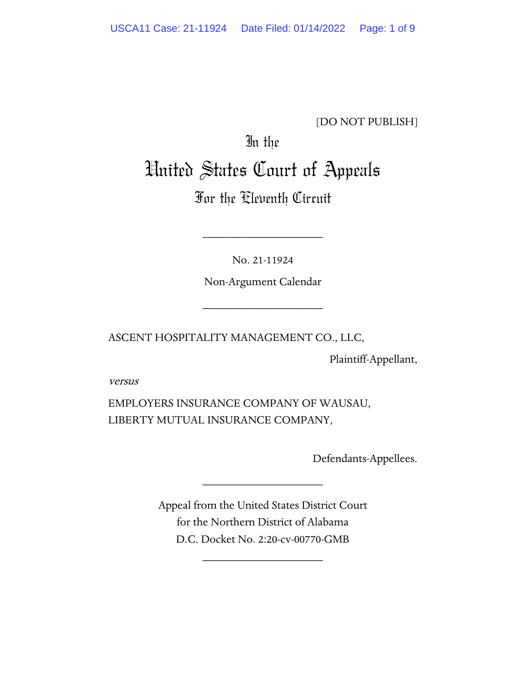[DO NOT PUBLISH]

# In the United States Court of Appeals

# For the Eleventh Circuit

No. 21-11924

\_\_\_\_\_\_\_\_\_\_\_\_\_\_\_\_\_\_\_\_

Non-Argument Calendar

\_\_\_\_\_\_\_\_\_\_\_\_\_\_\_\_\_\_\_\_

ASCENT HOSPITALITY MANAGEMENT CO., LLC,

Plaintiff-Appellant,

versus

EMPLOYERS INSURANCE COMPANY OF WAUSAU, LIBERTY MUTUAL INSURANCE COMPANY,

Defendants-Appellees.

Appeal from the United States District Court for the Northern District of Alabama D.C. Docket No. 2:20-cv-00770-GMB

\_\_\_\_\_\_\_\_\_\_\_\_\_\_\_\_\_\_\_\_

\_\_\_\_\_\_\_\_\_\_\_\_\_\_\_\_\_\_\_\_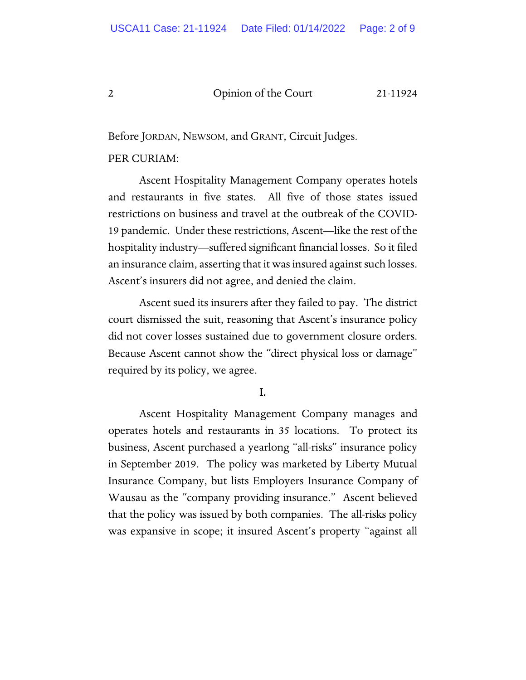Before JORDAN, NEWSOM, and GRANT, Circuit Judges.

#### PER CURIAM:

Ascent Hospitality Management Company operates hotels and restaurants in five states. All five of those states issued restrictions on business and travel at the outbreak of the COVID-19 pandemic. Under these restrictions, Ascent—like the rest of the hospitality industry—suffered significant financial losses. So it filed an insurance claim, asserting that it was insured against such losses. Ascent's insurers did not agree, and denied the claim.

Ascent sued its insurers after they failed to pay. The district court dismissed the suit, reasoning that Ascent's insurance policy did not cover losses sustained due to government closure orders. Because Ascent cannot show the "direct physical loss or damage" required by its policy, we agree.

#### I.

Ascent Hospitality Management Company manages and operates hotels and restaurants in 35 locations. To protect its business, Ascent purchased a yearlong "all-risks" insurance policy in September 2019. The policy was marketed by Liberty Mutual Insurance Company, but lists Employers Insurance Company of Wausau as the "company providing insurance." Ascent believed that the policy was issued by both companies. The all-risks policy was expansive in scope; it insured Ascent's property "against all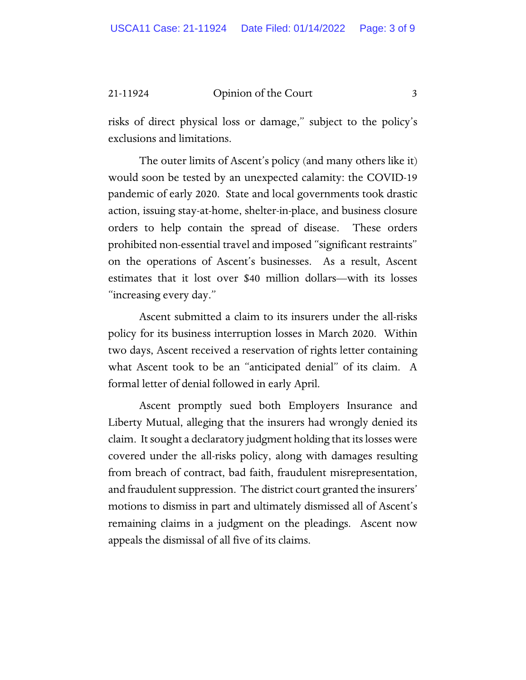risks of direct physical loss or damage," subject to the policy's exclusions and limitations.

The outer limits of Ascent's policy (and many others like it) would soon be tested by an unexpected calamity: the COVID-19 pandemic of early 2020. State and local governments took drastic action, issuing stay-at-home, shelter-in-place, and business closure orders to help contain the spread of disease. These orders prohibited non-essential travel and imposed "significant restraints" on the operations of Ascent's businesses. As a result, Ascent estimates that it lost over \$40 million dollars—with its losses "increasing every day."

Ascent submitted a claim to its insurers under the all-risks policy for its business interruption losses in March 2020. Within two days, Ascent received a reservation of rights letter containing what Ascent took to be an "anticipated denial" of its claim. A formal letter of denial followed in early April.

Ascent promptly sued both Employers Insurance and Liberty Mutual, alleging that the insurers had wrongly denied its claim. It sought a declaratory judgment holding that its losses were covered under the all-risks policy, along with damages resulting from breach of contract, bad faith, fraudulent misrepresentation, and fraudulent suppression. The district court granted the insurers' motions to dismiss in part and ultimately dismissed all of Ascent's remaining claims in a judgment on the pleadings. Ascent now appeals the dismissal of all five of its claims.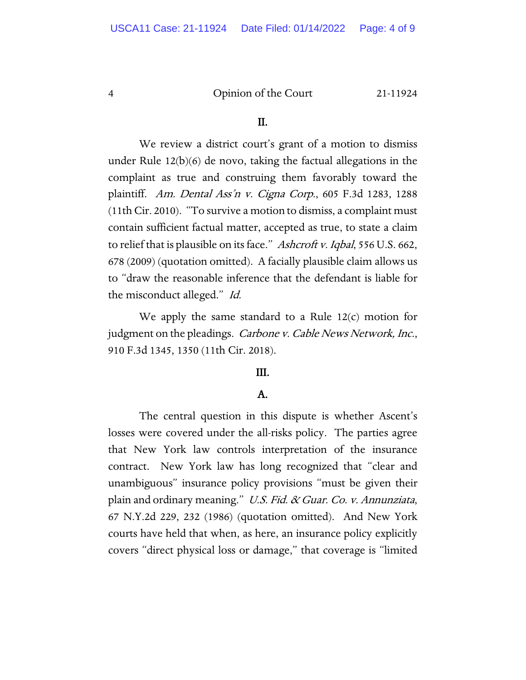#### II.

We review a district court's grant of a motion to dismiss under Rule 12(b)(6) de novo, taking the factual allegations in the complaint as true and construing them favorably toward the plaintiff. Am. Dental Ass'n v. Cigna Corp., 605 F.3d 1283, 1288 (11th Cir. 2010). "To survive a motion to dismiss, a complaint must contain sufficient factual matter, accepted as true, to state a claim to relief that is plausible on its face." Ashcroft v. Iqbal, 556 U.S. 662, 678 (2009) (quotation omitted). A facially plausible claim allows us to "draw the reasonable inference that the defendant is liable for the misconduct alleged." Id.

We apply the same standard to a Rule  $12(c)$  motion for judgment on the pleadings. *Carbone v. Cable News Network, Inc.*, 910 F.3d 1345, 1350 (11th Cir. 2018).

#### III.

## A.

 The central question in this dispute is whether Ascent's losses were covered under the all-risks policy. The parties agree that New York law controls interpretation of the insurance contract. New York law has long recognized that "clear and unambiguous" insurance policy provisions "must be given their plain and ordinary meaning." U.S. Fid. & Guar. Co. v. Annunziata, 67 N.Y.2d 229, 232 (1986) (quotation omitted). And New York courts have held that when, as here, an insurance policy explicitly covers "direct physical loss or damage," that coverage is "limited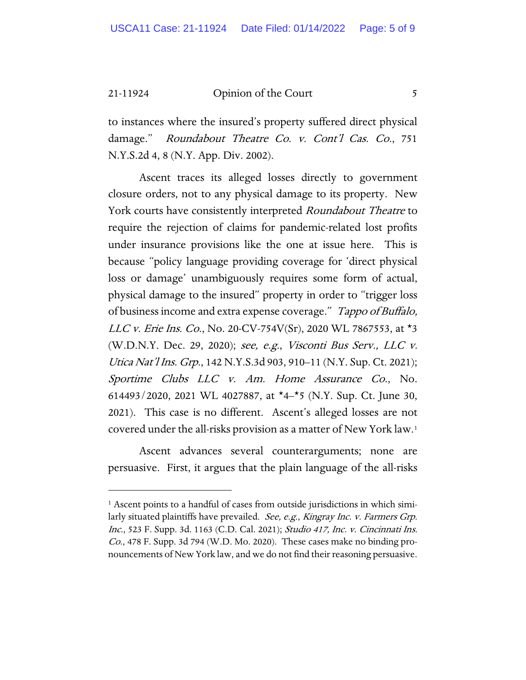to instances where the insured's property suffered direct physical damage." Roundabout Theatre Co. v. Cont'l Cas. Co., 751 N.Y.S.2d 4, 8 (N.Y. App. Div. 2002).

Ascent traces its alleged losses directly to government closure orders, not to any physical damage to its property. New York courts have consistently interpreted *Roundabout Theatre* to require the rejection of claims for pandemic-related lost profits under insurance provisions like the one at issue here. This is because "policy language providing coverage for 'direct physical loss or damage' unambiguously requires some form of actual, physical damage to the insured" property in order to "trigger loss of business income and extra expense coverage." Tappo of Buffalo, *LLC v. Erie Ins. Co.*, No. 20-CV-754V(Sr), 2020 WL 7867553, at  $*3$ (W.D.N.Y. Dec. 29, 2020); see, e.g., Visconti Bus Serv., LLC v. Utica Nat'l Ins. Grp., 142 N.Y.S.3d 903, 910–11 (N.Y. Sup. Ct. 2021); Sportime Clubs LLC v. Am. Home Assurance Co., No. 614493/2020, 2021 WL 4027887, at  $*4-*5$  (N.Y. Sup. Ct. June 30, 2021). This case is no different. Ascent's alleged losses are not covered under the all-risks provision as a matter of New York law[.1](#page-4-0)

Ascent advances several counterarguments; none are persuasive. First, it argues that the plain language of the all-risks

<span id="page-4-0"></span><sup>&</sup>lt;sup>1</sup> Ascent points to a handful of cases from outside jurisdictions in which similarly situated plaintiffs have prevailed. *See, e.g., Kingray Inc. v. Farmers Grp.* Inc., 523 F. Supp. 3d. 1163 (C.D. Cal. 2021); Studio 417, Inc. v. Cincinnati Ins. Co., 478 F. Supp. 3d 794 (W.D. Mo. 2020). These cases make no binding pronouncements of New York law, and we do not find their reasoning persuasive.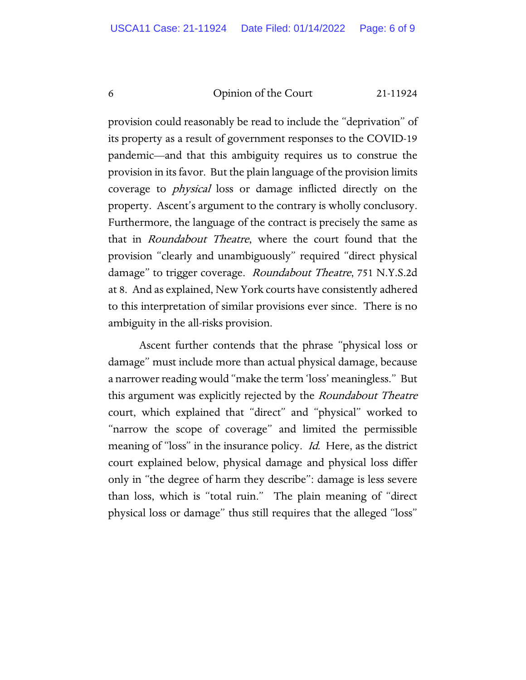provision could reasonably be read to include the "deprivation" of its property as a result of government responses to the COVID-19 pandemic—and that this ambiguity requires us to construe the provision in its favor. But the plain language of the provision limits coverage to physical loss or damage inflicted directly on the property. Ascent's argument to the contrary is wholly conclusory. Furthermore, the language of the contract is precisely the same as that in Roundabout Theatre, where the court found that the provision "clearly and unambiguously" required "direct physical damage" to trigger coverage. Roundabout Theatre, 751 N.Y.S.2d at 8. And as explained, New York courts have consistently adhered to this interpretation of similar provisions ever since. There is no ambiguity in the all-risks provision.

Ascent further contends that the phrase "physical loss or damage" must include more than actual physical damage, because a narrower reading would "make the term 'loss' meaningless." But this argument was explicitly rejected by the *Roundabout Theatre* court, which explained that "direct" and "physical" worked to "narrow the scope of coverage" and limited the permissible meaning of "loss" in the insurance policy. *Id.* Here, as the district court explained below, physical damage and physical loss differ only in "the degree of harm they describe": damage is less severe than loss, which is "total ruin." The plain meaning of "direct physical loss or damage" thus still requires that the alleged "loss"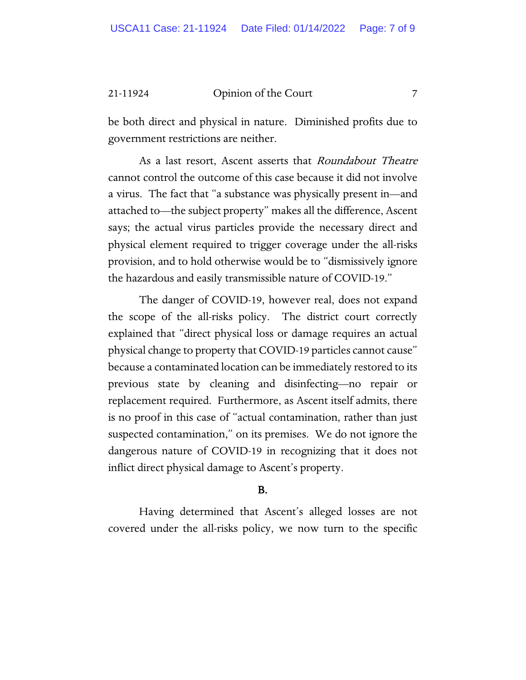be both direct and physical in nature. Diminished profits due to government restrictions are neither.

As a last resort, Ascent asserts that Roundabout Theatre cannot control the outcome of this case because it did not involve a virus. The fact that "a substance was physically present in—and attached to—the subject property" makes all the difference, Ascent says; the actual virus particles provide the necessary direct and physical element required to trigger coverage under the all-risks provision, and to hold otherwise would be to "dismissively ignore the hazardous and easily transmissible nature of COVID-19."

The danger of COVID-19, however real, does not expand the scope of the all-risks policy. The district court correctly explained that "direct physical loss or damage requires an actual physical change to property that COVID-19 particles cannot cause" because a contaminated location can be immediately restored to its previous state by cleaning and disinfecting—no repair or replacement required. Furthermore, as Ascent itself admits, there is no proof in this case of "actual contamination, rather than just suspected contamination," on its premises. We do not ignore the dangerous nature of COVID-19 in recognizing that it does not inflict direct physical damage to Ascent's property.

## B.

Having determined that Ascent's alleged losses are not covered under the all-risks policy, we now turn to the specific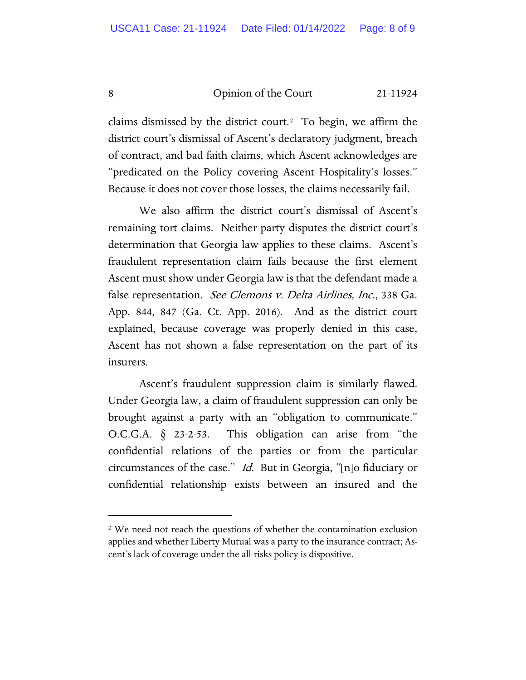claims dismissed by the district court.<sup>[2](#page-7-0)</sup> To begin, we affirm the district court's dismissal of Ascent's declaratory judgment, breach of contract, and bad faith claims, which Ascent acknowledges are "predicated on the Policy covering Ascent Hospitality's losses." Because it does not cover those losses, the claims necessarily fail.

We also affirm the district court's dismissal of Ascent's remaining tort claims. Neither party disputes the district court's determination that Georgia law applies to these claims. Ascent's fraudulent representation claim fails because the first element Ascent must show under Georgia law is that the defendant made a false representation. See Clemons v. Delta Airlines, Inc., 338 Ga. App. 844, 847 (Ga. Ct. App. 2016). And as the district court explained, because coverage was properly denied in this case, Ascent has not shown a false representation on the part of its insurers.

Ascent's fraudulent suppression claim is similarly flawed. Under Georgia law, a claim of fraudulent suppression can only be brought against a party with an "obligation to communicate." O.C.G.A. § 23-2-53. This obligation can arise from "the confidential relations of the parties or from the particular circumstances of the case." Id. But in Georgia, "[n]o fiduciary or confidential relationship exists between an insured and the

<span id="page-7-0"></span><sup>&</sup>lt;sup>2</sup> We need not reach the questions of whether the contamination exclusion applies and whether Liberty Mutual was a party to the insurance contract; Ascent's lack of coverage under the all-risks policy is dispositive.